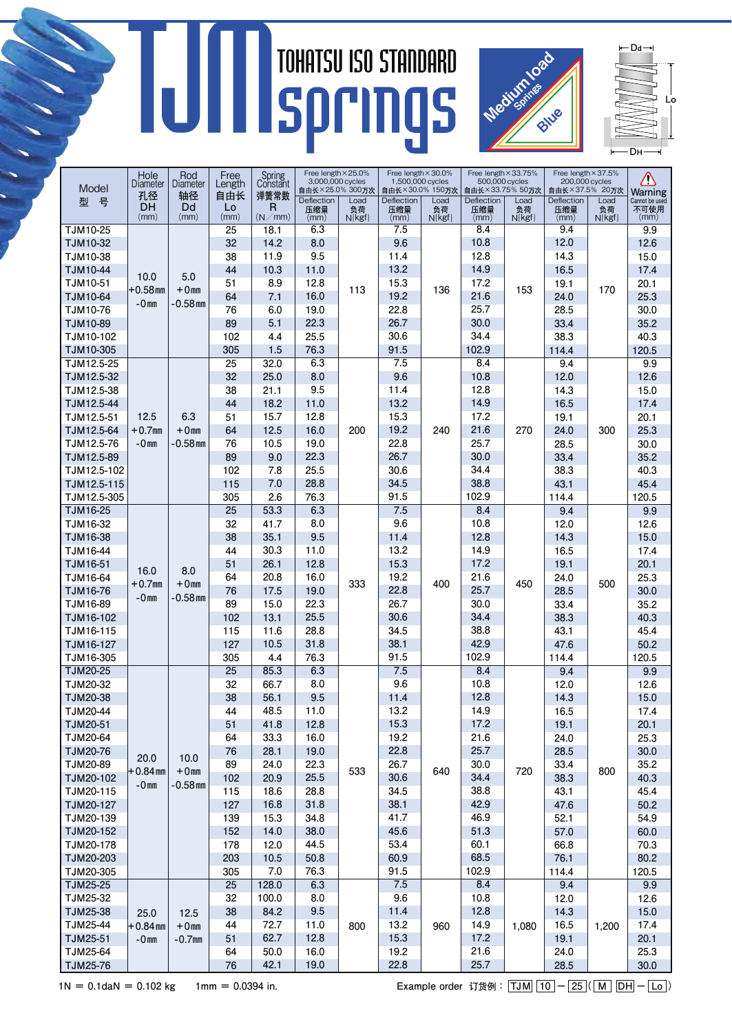## IUI



 $\leftarrow$  Dd $\rightarrow$ **D**H **L**o

|                 | Hole<br><b>Diameter</b><br>孔径 | Rod<br>Diameter<br>轴径       | Free<br>Length<br>自由长 | Spring<br>Constant<br>弹簧常数 | Free length × 25.0%<br>3,000,000 cycles<br>自由长×25.0% 300万次 |            | Free length × 30.0%<br>1,500,000 cycles<br>自由长×30.0% 150万次 |            | Free length × 33.75%<br>500,000 cycles<br>自由长×33.75% 50万次 |            | Free length × 37.5%<br>200,000 cycles<br>自由长×37.5% 20万次 |            | Ņ                      |
|-----------------|-------------------------------|-----------------------------|-----------------------|----------------------------|------------------------------------------------------------|------------|------------------------------------------------------------|------------|-----------------------------------------------------------|------------|---------------------------------------------------------|------------|------------------------|
| Model           |                               |                             |                       |                            |                                                            |            |                                                            |            |                                                           |            |                                                         |            | <b>Warning</b>         |
| 묵<br>퓇          | DH                            | Dd                          | Lo                    | R                          | Deflection<br>压缩量                                          | Load<br>负荷 | Deflection<br>压缩量                                          | Load<br>负荷 | Deflection<br>压缩量                                         | Load<br>负荷 | Deflection<br>压缩量                                       | Load<br>负荷 | Cannot be used<br>不可使用 |
|                 | (mm)                          | (mm)                        | (mm)                  | (N/mm)                     | (mm)                                                       | $N\{kgf\}$ | (mm)                                                       | $N\{kgf\}$ | (mm)                                                      | $N\{kgf\}$ | (mm)                                                    | $N\{kgf\}$ | (mm)                   |
| TJM10-25        | 10.0<br>$+0.58$ mm<br>$-0mn$  |                             | 25                    | 18.1                       | 6.3                                                        | 113        | 7.5                                                        |            | 8.4                                                       |            | 9.4                                                     |            | 9.9                    |
| TJM10-32        |                               | 5.0<br>$+0mm$<br>$-0.58$ mm | 32                    | 14.2                       | 8.0                                                        |            | 9.6                                                        |            | 10.8                                                      |            | 12.0                                                    |            | 12.6                   |
| TJM10-38        |                               |                             | 38                    | 11.9                       | 9.5                                                        |            | 11.4                                                       | 136        | 12.8                                                      | 153        | 14.3                                                    |            | 15.0                   |
| TJM10-44        |                               |                             | 44                    | 10.3                       | 11.0                                                       |            | 13.2                                                       |            | 14.9                                                      |            | 16.5                                                    |            | 17.4                   |
| TJM10-51        |                               |                             | 51                    | 8.9                        | 12.8                                                       |            | 15.3                                                       |            | 17.2                                                      |            | 19.1                                                    |            | 20.1                   |
| TJM10-64        |                               |                             | 64                    | 7.1                        | 16.0                                                       |            | 19.2                                                       |            | 21.6                                                      |            | 24.0                                                    | 170        | 25.3                   |
| TJM10-76        |                               |                             | 76                    | 6.0                        | 19.0                                                       |            | 22.8                                                       |            | 25.7                                                      |            | 28.5                                                    |            | 30.0                   |
| TJM10-89        |                               |                             | 89                    | 5.1                        | 22.3                                                       |            | 26.7                                                       |            | 30.0                                                      |            | 33.4                                                    |            | 35.2                   |
| TJM10-102       |                               |                             | 102                   | 4.4                        | 25.5                                                       |            | 30.6                                                       |            | 34.4                                                      |            | 38.3                                                    |            | 40.3                   |
| TJM10-305       |                               |                             | 305                   | 1.5                        | 76.3                                                       |            | 91.5                                                       |            | 102.9                                                     |            | 114.4                                                   |            | 120.5                  |
| TJM12.5-25      |                               |                             | 25                    | 32.0                       | 6.3                                                        |            | 7.5                                                        |            | 8.4                                                       |            | 9.4                                                     |            | 9.9                    |
| TJM12.5-32      |                               |                             | 32                    | 25.0                       | 8.0                                                        | 200        | 9.6                                                        |            | 10.8                                                      | 270        | 12.0                                                    | 300        | 12.6                   |
| TJM12.5-38      |                               |                             | 38                    | 21.1                       | 9.5                                                        |            | 11.4                                                       |            | 12.8                                                      |            | 14.3                                                    |            | 15.0                   |
| TJM12.5-44      |                               | 6.3<br>$+0mm$               | 44                    | 18.2                       | 11.0                                                       |            | 13.2                                                       | 240        | 14.9                                                      |            | 16.5                                                    |            | 17.4                   |
| TJM12.5-51      | 12.5                          |                             | 51                    | 15.7                       | 12.8                                                       |            | 15.3                                                       |            | 17.2                                                      |            | 19.1                                                    |            | 20.1                   |
| TJM12.5-64      | $+0.7$ mm                     |                             | 64                    | 12.5                       | 16.0                                                       |            | 19.2                                                       |            | 21.6                                                      |            | 24.0                                                    |            | 25.3                   |
| TJM12.5-76      | $-0mn$                        | -0.58 mm                    | 76                    | 10.5                       | 19.0                                                       |            | 22.8                                                       |            | 25.7                                                      |            | 28.5                                                    |            | 30.0                   |
| TJM12.5-89      |                               |                             | 89                    | 9.0                        | 22.3                                                       |            | 26.7                                                       |            | 30.0                                                      |            | 33.4                                                    |            | 35.2                   |
| TJM12.5-102     |                               |                             | 102                   | 7.8                        | 25.5                                                       |            | 30.6                                                       |            | 34.4                                                      |            | 38.3                                                    |            | 40.3                   |
| TJM12.5-115     |                               |                             | 115                   | 7.0                        | 28.8                                                       |            | 34.5                                                       |            | 38.8                                                      |            | 43.1                                                    |            | 45.4                   |
| TJM12.5-305     |                               |                             | 305                   | 2.6                        | 76.3                                                       |            | 91.5                                                       |            | 102.9                                                     |            | 114.4                                                   |            | 120.5                  |
| TJM16-25        |                               |                             | 25                    | 53.3                       | 6.3                                                        |            | 7.5                                                        |            | 8.4                                                       |            | 9.4                                                     |            | 9.9                    |
| TJM16-32        |                               |                             | 32                    | 41.7                       | 8.0                                                        |            | 9.6                                                        |            | 10.8                                                      |            | 12.0                                                    |            | 12.6                   |
| TJM16-38        |                               | 8.0<br>$+0mm$<br>$-0.58$ mm | 38                    | 35.1                       | 9.5                                                        |            | 11.4                                                       |            | 12.8                                                      |            | 14.3                                                    |            | 15.0                   |
| TJM16-44        |                               |                             | 44                    | 30.3                       | 11.0                                                       |            | 13.2                                                       |            | 14.9                                                      |            | 16.5                                                    |            | 17.4                   |
| TJM16-51        |                               |                             | 51                    | 26.1                       | 12.8                                                       |            | 15.3                                                       | 400        | 17.2                                                      |            | 19.1                                                    |            | 20.1                   |
| TJM16-64        | 16.0<br>$+0.7$ mm             |                             | 64                    | 20.8                       | 16.0                                                       | 333        | 19.2                                                       |            | 21.6                                                      | 450        | 24.0                                                    | 500        | 25.3                   |
| TJM16-76        | $-0mn$                        |                             | 76                    | 17.5                       | 19.0                                                       |            | 22.8                                                       |            | 25.7                                                      |            | 28.5                                                    |            | 30.0                   |
| TJM16-89        |                               |                             | 89                    | 15.0                       | 22.3                                                       |            | 26.7                                                       |            | 30.0                                                      |            | 33.4                                                    |            | 35.2                   |
| TJM16-102       |                               |                             | 102                   | 13.1                       | 25.5                                                       |            | 30.6                                                       |            | 34.4                                                      |            | 38.3                                                    |            | 40.3                   |
| TJM16-115       |                               |                             | 115                   | 11.6                       | 28.8                                                       |            | 34.5                                                       |            | 38.8                                                      |            | 43.1                                                    |            | 45.4                   |
| TJM16-127       |                               |                             | 127                   | 10.5                       | 31.8                                                       |            | 38.1                                                       |            | 42.9                                                      |            | 47.6                                                    |            | 50.2                   |
| TJM16-305       |                               |                             | 305                   | 4.4                        | 76.3                                                       |            | 91.5                                                       |            | 102.9                                                     |            | 114.4                                                   |            | 120.5                  |
| TJM20-25        |                               | 10.0<br>$+0mm$              | $\overline{25}$       | 85.3                       | 6.3                                                        | 533        | 7.5                                                        |            | 8.4                                                       |            | 9.4                                                     |            | 9.9                    |
| TJM20-32        |                               |                             | 32                    | 66.7                       | 8.0                                                        |            | 9.6                                                        |            | 10.8                                                      |            | 12.0                                                    |            | 12.6                   |
| <b>TJM20-38</b> |                               |                             | 38                    | 56.1                       | 9.5                                                        |            | 11.4                                                       |            | 12.8                                                      |            | 14.3                                                    |            | 15.0                   |
| TJM20-44        |                               |                             | 44                    | 48.5                       | 11.0                                                       |            | 13.2                                                       |            | 14.9                                                      |            | 16.5                                                    |            | 17.4                   |
| TJM20-51        |                               |                             | 51                    | 41.8                       | 12.8                                                       |            | 15.3                                                       |            | 17.2                                                      |            | 19.1                                                    |            | 20.1                   |
| TJM20-64        | 20.0<br>+0.84 mm<br>$-0mn$    |                             | 64                    | 33.3                       | 16.0                                                       |            | 19.2                                                       |            | 21.6                                                      |            | 24.0                                                    |            | 25.3                   |
| TJM20-76        |                               |                             | 76                    | 28.1                       | 19.0                                                       |            | 22.8                                                       |            | 25.7                                                      |            | 28.5                                                    |            | 30.0                   |
| TJM20-89        |                               |                             | 89                    | 24.0                       | 22.3                                                       |            | 26.7                                                       | 640        | 30.0                                                      | 720        | 33.4                                                    | 800        | 35.2                   |
| TJM20-102       |                               | $-0.58$ mm                  | 102                   | 20.9                       | 25.5                                                       |            | 30.6                                                       |            | 34.4                                                      |            | 38.3                                                    |            | 40.3                   |
| TJM20-115       |                               |                             | 115                   | 18.6                       | 28.8                                                       |            | 34.5                                                       |            | 38.8                                                      |            | 43.1                                                    |            | 45.4                   |
| TJM20-127       |                               |                             | 127                   | 16.8                       | 31.8                                                       |            | 38.1                                                       |            | 42.9                                                      |            | 47.6                                                    |            | 50.2                   |
| TJM20-139       |                               |                             | 139                   | 15.3                       | 34.8                                                       |            | 41.7                                                       |            | 46.9                                                      |            | 52.1                                                    |            | 54.9                   |
| TJM20-152       |                               |                             | 152                   | 14.0                       | 38.0                                                       |            | 45.6                                                       |            | 51.3                                                      |            | 57.0                                                    |            | 60.0                   |
| TJM20-178       |                               |                             | 178                   | 12.0                       | 44.5                                                       |            | 53.4                                                       |            | 60.1                                                      |            | 66.8                                                    |            | 70.3                   |
| TJM20-203       |                               |                             | 203                   | 10.5                       | 50.8                                                       |            | 60.9                                                       |            | 68.5                                                      |            | 76.1                                                    |            | 80.2                   |
| TJM20-305       |                               |                             | 305                   | 7.0                        | 76.3                                                       |            | 91.5                                                       |            | 102.9                                                     |            | 114.4                                                   |            | 120.5                  |
| <b>TJM25-25</b> |                               |                             | 25                    | 128.0                      | 6.3                                                        |            | 7.5                                                        |            | 8.4                                                       |            | 9.4                                                     |            | 9.9                    |
| TJM25-32        | 25.0<br>$+0.84$ mm<br>$-0mn$  | 12.5<br>$+0mm$<br>$-0.7$ mm | 32                    | 100.0                      | 8.0                                                        | 800        | 9.6                                                        | 960        | 10.8                                                      |            | 12.0                                                    |            | 12.6                   |
| TJM25-38        |                               |                             | 38                    | 84.2                       | 9.5                                                        |            | 11.4                                                       |            | 12.8                                                      |            | 14.3                                                    |            | 15.0                   |
| TJM25-44        |                               |                             | 44                    | 72.7                       | 11.0                                                       |            | 13.2                                                       |            | 14.9                                                      | 1,080      | 16.5                                                    | 1,200      | 17.4                   |
| TJM25-51        |                               |                             | 51                    | 62.7                       | 12.8                                                       |            | 15.3                                                       |            | 17.2                                                      |            | 19.1                                                    |            | 20.1                   |
| TJM25-64        |                               |                             | 64                    | 50.0                       | 16.0                                                       |            | 19.2                                                       |            | 21.6                                                      |            | 24.0                                                    |            | 25.3                   |
| TJM25-76        |                               |                             | 76                    | 42.1                       | 19.0                                                       |            | 22.8                                                       |            | 25.7                                                      |            | 28.5                                                    |            | 30.0                   |

1N = 0.1daN = 0.102 kg 1mm = 0.0394 in. <br> **Example order 订货例:**  $\overline{[JM]}$   $\overline{[10]} - \overline{[25]}$   $\overline{[M]} - \overline{[L0]}$